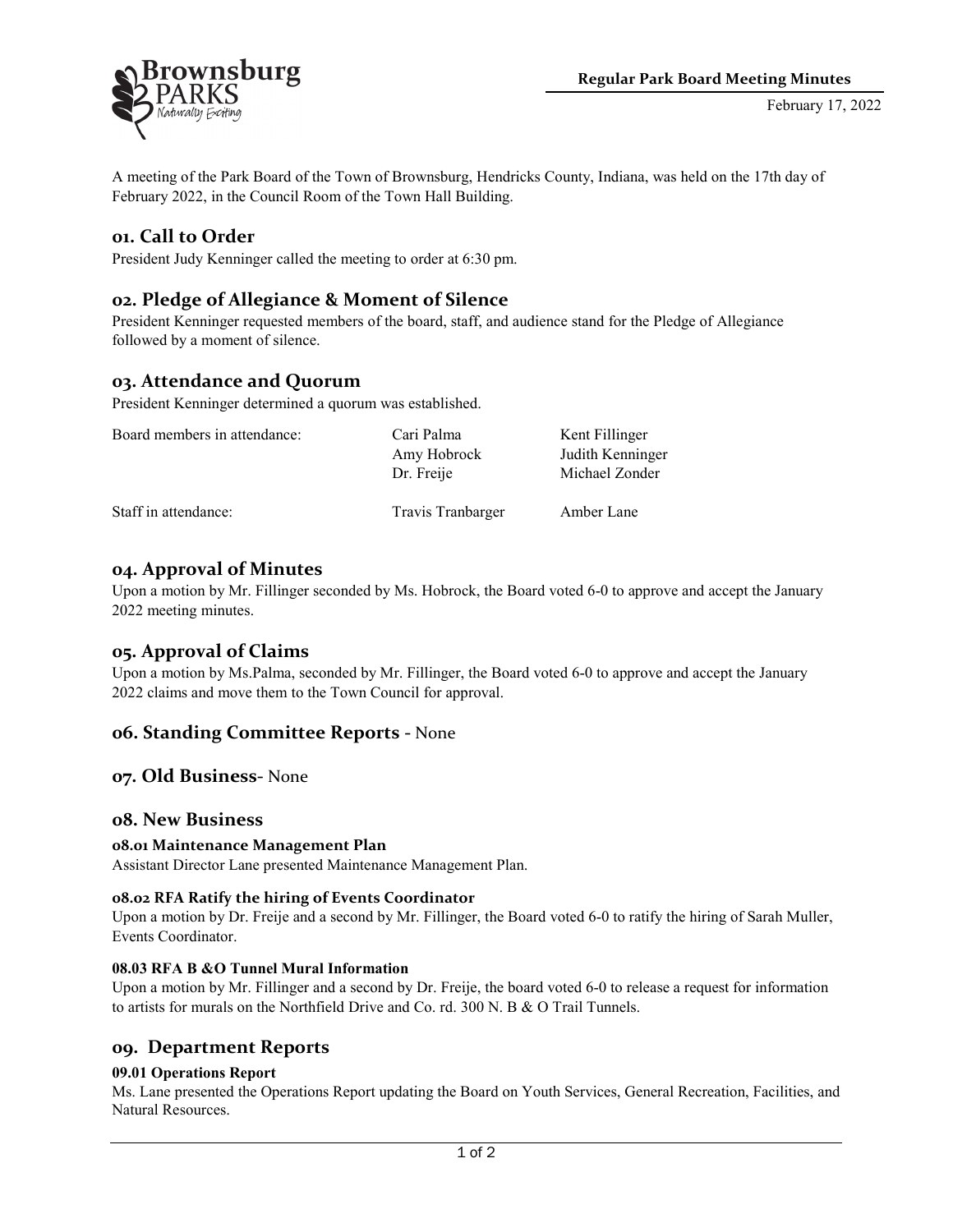

A meeting of the Park Board of the Town of Brownsburg, Hendricks County, Indiana, was held on the 17th day of February 2022, in the Council Room of the Town Hall Building.

# **01. Call to Order**

President Judy Kenninger called the meeting to order at 6:30 pm.

# **02. Pledge of Allegiance & Moment of Silence**

President Kenninger requested members of the board, staff, and audience stand for the Pledge of Allegiance followed by a moment of silence.

# **03. Attendance and Quorum**

President Kenninger determined a quorum was established.

| Board members in attendance: | Cari Palma                | Kent Fillinger                     |
|------------------------------|---------------------------|------------------------------------|
|                              | Amy Hobrock<br>Dr. Freije | Judith Kenninger<br>Michael Zonder |
| Staff in attendance:         | Travis Tranbarger         | Amber Lane                         |

## **04. Approval of Minutes**

Upon a motion by Mr. Fillinger seconded by Ms. Hobrock, the Board voted 6-0 to approve and accept the January 2022 meeting minutes.

# **05. Approval of Claims**

Upon a motion by Ms.Palma, seconded by Mr. Fillinger, the Board voted 6-0 to approve and accept the January 2022 claims and move them to the Town Council for approval.

## **06. Standing Committee Reports -** None

**07. Old Business-** None

## **08. New Business**

## **08.01 Maintenance Management Plan**

Assistant Director Lane presented Maintenance Management Plan.

#### **08.02 RFA Ratify the hiring of Events Coordinator**

Upon a motion by Dr. Freije and a second by Mr. Fillinger, the Board voted 6-0 to ratify the hiring of Sarah Muller, Events Coordinator.

#### **08.03 RFA B &O Tunnel Mural Information**

Upon a motion by Mr. Fillinger and a second by Dr. Freije, the board voted 6-0 to release a request for information to artists for murals on the Northfield Drive and Co. rd. 300 N. B & O Trail Tunnels.

## **09. Department Reports**

#### **09.01 Operations Report**

Ms. Lane presented the Operations Report updating the Board on Youth Services, General Recreation, Facilities, and Natural Resources.